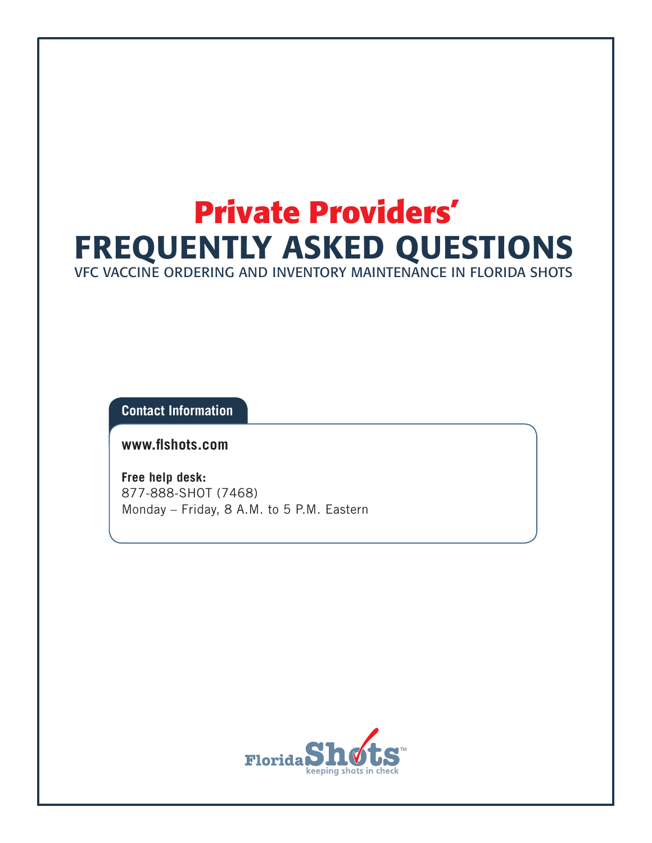# **Private Providers'** FREQUENTLY ASKED QUESTIONS VFC VACCINE ORDERING AND INVENTORY MAINTENANCE IN FLORIDA SHOTS

**Contact Information** 

### **[www.flshots.com](http://www.flshots.com)**

 **Free help desk:** 877-888-SHOT (7468) Monday – Friday, 8 A.M. to 5 P.M. Eastern

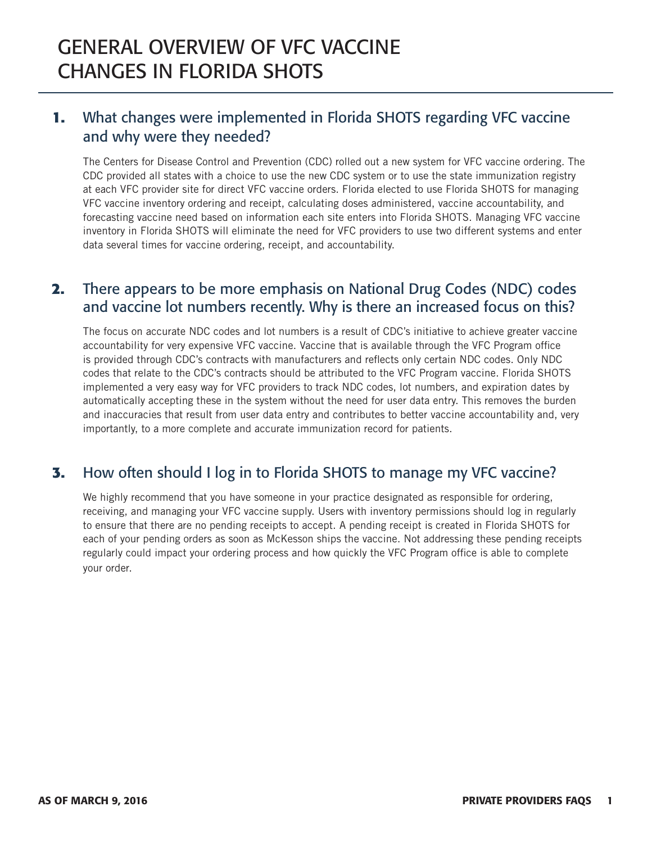# **1.** What changes were implemented in Florida SHOTS regarding VFC vaccine and why were they needed?

The Centers for Disease Control and Prevention (CDC) rolled out a new system for VFC vaccine ordering. The CDC provided all states with a choice to use the new CDC system or to use the state immunization registry at each VFC provider site for direct VFC vaccine orders. Florida elected to use Florida SHOTS for managing VFC vaccine inventory ordering and receipt, calculating doses administered, vaccine accountability, and forecasting vaccine need based on information each site enters into Florida SHOTS. Managing VFC vaccine inventory in Florida SHOTS will eliminate the need for VFC providers to use two different systems and enter data several times for vaccine ordering, receipt, and accountability.

## **2.** There appears to be more emphasis on National Drug Codes (NDC) codes and vaccine lot numbers recently. Why is there an increased focus on this?

The focus on accurate NDC codes and lot numbers is a result of CDC's initiative to achieve greater vaccine accountability for very expensive VFC vaccine. Vaccine that is available through the VFC Program office is provided through CDC's contracts with manufacturers and reflects only certain NDC codes. Only NDC codes that relate to the CDC's contracts should be attributed to the VFC Program vaccine. Florida SHOTS implemented a very easy way for VFC providers to track NDC codes, lot numbers, and expiration dates by automatically accepting these in the system without the need for user data entry. This removes the burden and inaccuracies that result from user data entry and contributes to better vaccine accountability and, very importantly, to a more complete and accurate immunization record for patients.

### **3.** How often should I log in to Florida SHOTS to manage my VFC vaccine?

We highly recommend that you have someone in your practice designated as responsible for ordering, receiving, and managing your VFC vaccine supply. Users with inventory permissions should log in regularly to ensure that there are no pending receipts to accept. A pending receipt is created in Florida SHOTS for each of your pending orders as soon as McKesson ships the vaccine. Not addressing these pending receipts regularly could impact your ordering process and how quickly the VFC Program office is able to complete your order.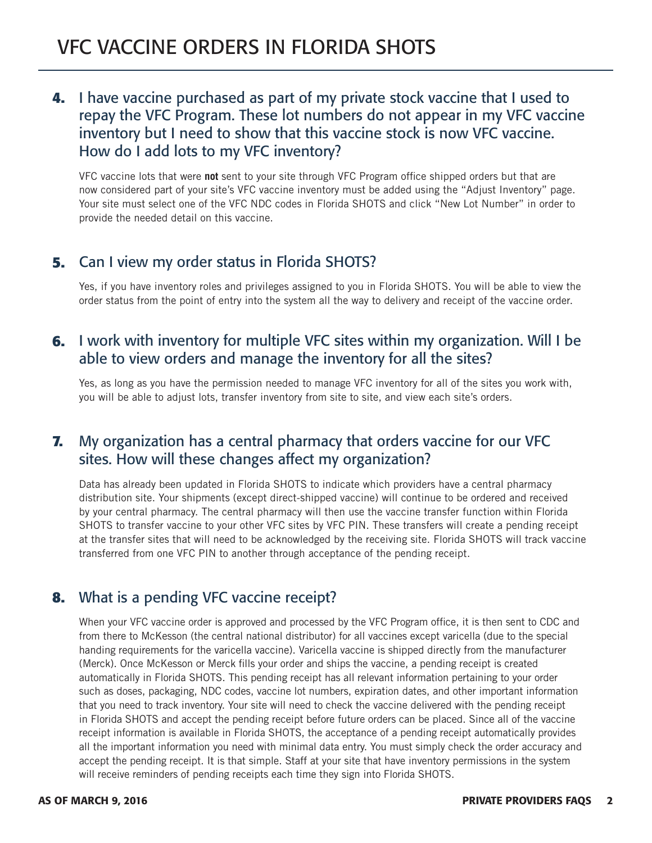## **4.** I have vaccine purchased as part of my private stock vaccine that I used to repay the VFC Program. These lot numbers do not appear in my VFC vaccine inventory but I need to show that this vaccine stock is now VFC vaccine. How do I add lots to my VFC inventory?

VFC vaccine lots that were **not** sent to your site through VFC Program office shipped orders but that are now considered part of your site's VFC vaccine inventory must be added using the "Adjust Inventory" page. Your site must select one of the VFC NDC codes in Florida SHOTS and click "New Lot Number" in order to provide the needed detail on this vaccine.

## **5.**  Can I view my order status in Florida SHOTS?

Yes, if you have inventory roles and privileges assigned to you in Florida SHOTS. You will be able to view the order status from the point of entry into the system all the way to delivery and receipt of the vaccine order.

# **6.**  I work with inventory for multiple VFC sites within my organization. Will I be able to view orders and manage the inventory for all the sites?

Yes, as long as you have the permission needed to manage VFC inventory for all of the sites you work with, you will be able to adjust lots, transfer inventory from site to site, and view each site's orders.

#### **7.**  My organization has a central pharmacy that orders vaccine for our VFC sites. How will these changes affect my organization?

Data has already been updated in Florida SHOTS to indicate which providers have a central pharmacy distribution site. Your shipments (except direct-shipped vaccine) will continue to be ordered and received by your central pharmacy. The central pharmacy will then use the vaccine transfer function within Florida SHOTS to transfer vaccine to your other VFC sites by VFC PIN. These transfers will create a pending receipt at the transfer sites that will need to be acknowledged by the receiving site. Florida SHOTS will track vaccine transferred from one VFC PIN to another through acceptance of the pending receipt.

# **8.**  What is a pending VFC vaccine receipt?

When your VFC vaccine order is approved and processed by the VFC Program office, it is then sent to CDC and from there to McKesson (the central national distributor) for all vaccines except varicella (due to the special handing requirements for the varicella vaccine). Varicella vaccine is shipped directly from the manufacturer (Merck). Once McKesson or Merck fills your order and ships the vaccine, a pending receipt is created automatically in Florida SHOTS. This pending receipt has all relevant information pertaining to your order such as doses, packaging, NDC codes, vaccine lot numbers, expiration dates, and other important information that you need to track inventory. Your site will need to check the vaccine delivered with the pending receipt in Florida SHOTS and accept the pending receipt before future orders can be placed. Since all of the vaccine receipt information is available in Florida SHOTS, the acceptance of a pending receipt automatically provides all the important information you need with minimal data entry. You must simply check the order accuracy and accept the pending receipt. It is that simple. Staff at your site that have inventory permissions in the system will receive reminders of pending receipts each time they sign into Florida SHOTS.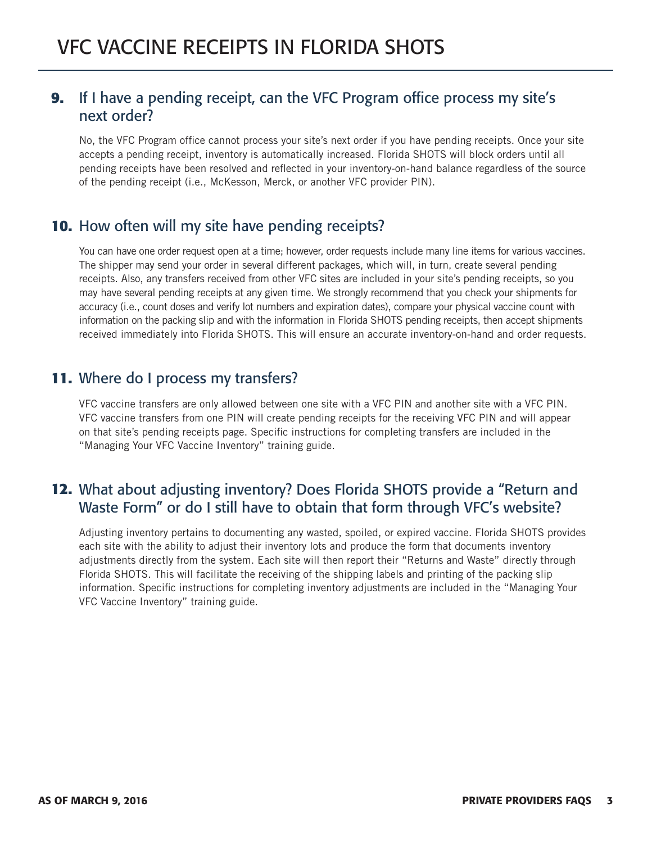### **9.** If I have a pending receipt, can the VFC Program office process my site's next order?

No, the VFC Program office cannot process your site's next order if you have pending receipts. Once your site accepts a pending receipt, inventory is automatically increased. Florida SHOTS will block orders until all pending receipts have been resolved and reflected in your inventory-on-hand balance regardless of the source of the pending receipt (i.e., McKesson, Merck, or another VFC provider PIN).

### **10.** How often will my site have pending receipts?

 may have several pending receipts at any given time. We strongly recommend that you check your shipments for You can have one order request open at a time; however, order requests include many line items for various vaccines. The shipper may send your order in several different packages, which will, in turn, create several pending receipts. Also, any transfers received from other VFC sites are included in your site's pending receipts, so you accuracy (i.e., count doses and verify lot numbers and expiration dates), compare your physical vaccine count with information on the packing slip and with the information in Florida SHOTS pending receipts, then accept shipments received immediately into Florida SHOTS. This will ensure an accurate inventory-on-hand and order requests.

### **11.** Where do I process my transfers?

VFC vaccine transfers are only allowed between one site with a VFC PIN and another site with a VFC PIN. VFC vaccine transfers from one PIN will create pending receipts for the receiving VFC PIN and will appear on that site's pending receipts page. Specific instructions for completing transfers are included in the "Managing Your VFC Vaccine Inventory" training guide.

# **12.** What about adjusting inventory? Does Florida SHOTS provide a "Return and Waste Form" or do I still have to obtain that form through VFC's website?

Adjusting inventory pertains to documenting any wasted, spoiled, or expired vaccine. Florida SHOTS provides each site with the ability to adjust their inventory lots and produce the form that documents inventory adjustments directly from the system. Each site will then report their "Returns and Waste" directly through Florida SHOTS. This will facilitate the receiving of the shipping labels and printing of the packing slip information. Specific instructions for completing inventory adjustments are included in the "Managing Your VFC Vaccine Inventory" training guide.